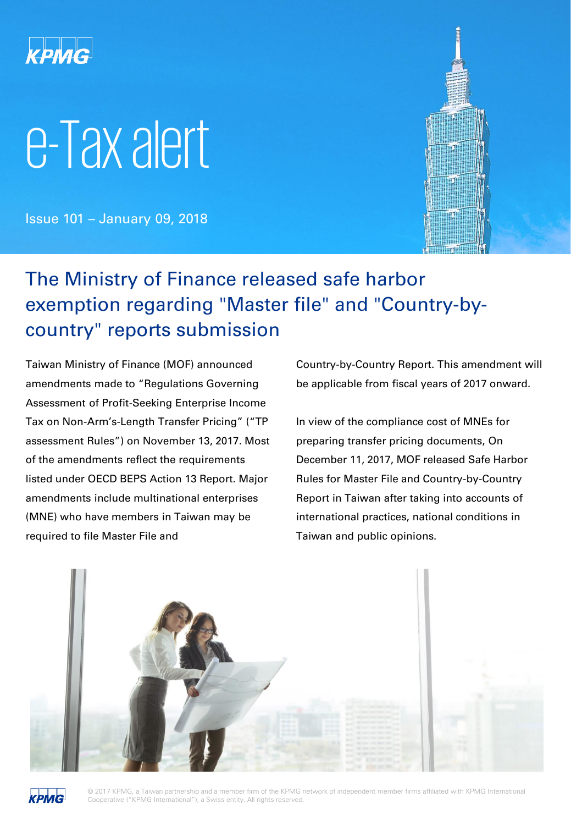

# e-Tax alert

Issue 101 – January 09, 2018



## The Ministry of Finance released safe harbor exemption regarding "Master file" and "Country-bycountry" reports submission

Taiwan Ministry of Finance (MOF) announced amendments made to "Regulations Governing Assessment of Profit-Seeking Enterprise Income Tax on Non-Arm's-Length Transfer Pricing" ("TP assessment Rules") on November 13, 2017. Most of the amendments reflect the requirements listed under OECD BEPS Action 13 Report. Major amendments include multinational enterprises (MNE) who have members in Taiwan may be required to file Master File and

Country-by-Country Report. This amendment will be applicable from fiscal years of 2017 onward.

In view of the compliance cost of MNEs for preparing transfer pricing documents, On December 11, 2017, MOF released Safe Harbor Rules for Master File and Country-by-Country Report in Taiwan after taking into accounts of international practices, national conditions in Taiwan and public opinions.





© 2017 KPMG, a Taiwan partnership and a member firm of the KPMG network of independent member firms affiliated with KPMG International Cooperative ("KPMG International"), a Swiss entity. All rights reserved.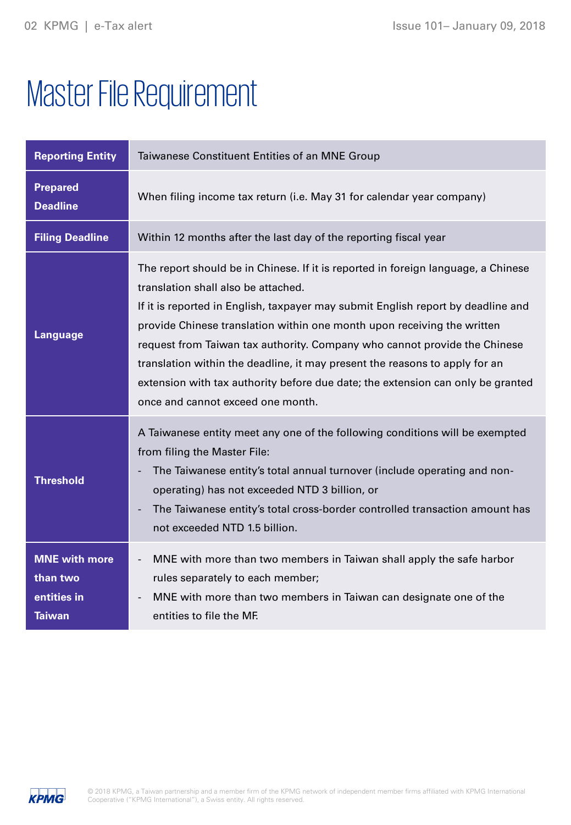# Master File Requirement

| <b>Reporting Entity</b>                                          | Taiwanese Constituent Entities of an MNE Group                                                                                                                                                                                                                                                                                                                                                                                                                                                                                                                              |
|------------------------------------------------------------------|-----------------------------------------------------------------------------------------------------------------------------------------------------------------------------------------------------------------------------------------------------------------------------------------------------------------------------------------------------------------------------------------------------------------------------------------------------------------------------------------------------------------------------------------------------------------------------|
| <b>Prepared</b><br><b>Deadline</b>                               | When filing income tax return (i.e. May 31 for calendar year company)                                                                                                                                                                                                                                                                                                                                                                                                                                                                                                       |
| <b>Filing Deadline</b>                                           | Within 12 months after the last day of the reporting fiscal year                                                                                                                                                                                                                                                                                                                                                                                                                                                                                                            |
| <b>Language</b>                                                  | The report should be in Chinese. If it is reported in foreign language, a Chinese<br>translation shall also be attached.<br>If it is reported in English, taxpayer may submit English report by deadline and<br>provide Chinese translation within one month upon receiving the written<br>request from Taiwan tax authority. Company who cannot provide the Chinese<br>translation within the deadline, it may present the reasons to apply for an<br>extension with tax authority before due date; the extension can only be granted<br>once and cannot exceed one month. |
| <b>Threshold</b>                                                 | A Taiwanese entity meet any one of the following conditions will be exempted<br>from filing the Master File:<br>The Taiwanese entity's total annual turnover (include operating and non-<br>operating) has not exceeded NTD 3 billion, or<br>The Taiwanese entity's total cross-border controlled transaction amount has<br>$\overline{\phantom{a}}$<br>not exceeded NTD 1.5 billion.                                                                                                                                                                                       |
| <b>MNE</b> with more<br>than two<br>entities in<br><b>Taiwan</b> | MNE with more than two members in Taiwan shall apply the safe harbor<br>rules separately to each member;<br>MNE with more than two members in Taiwan can designate one of the<br>entities to file the MF.                                                                                                                                                                                                                                                                                                                                                                   |

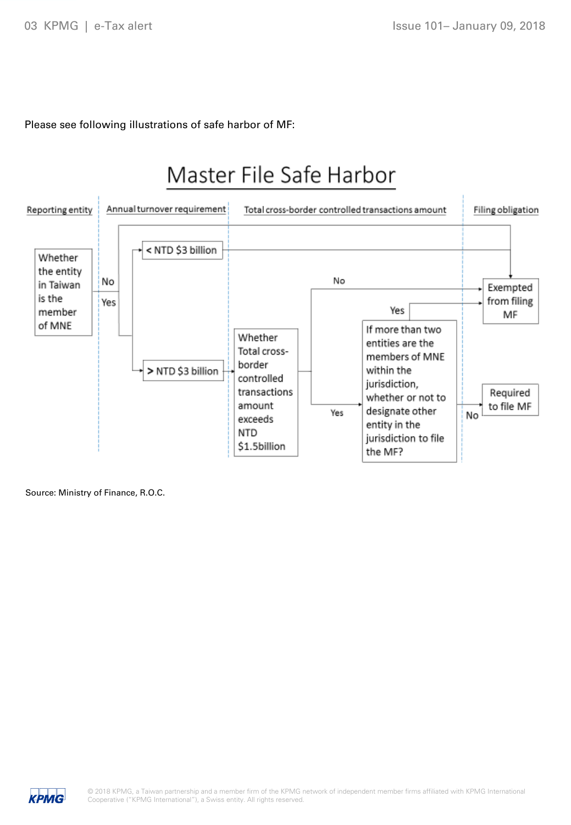Please see following illustrations of safe harbor of MF:



Source: Ministry of Finance, R.O.C.

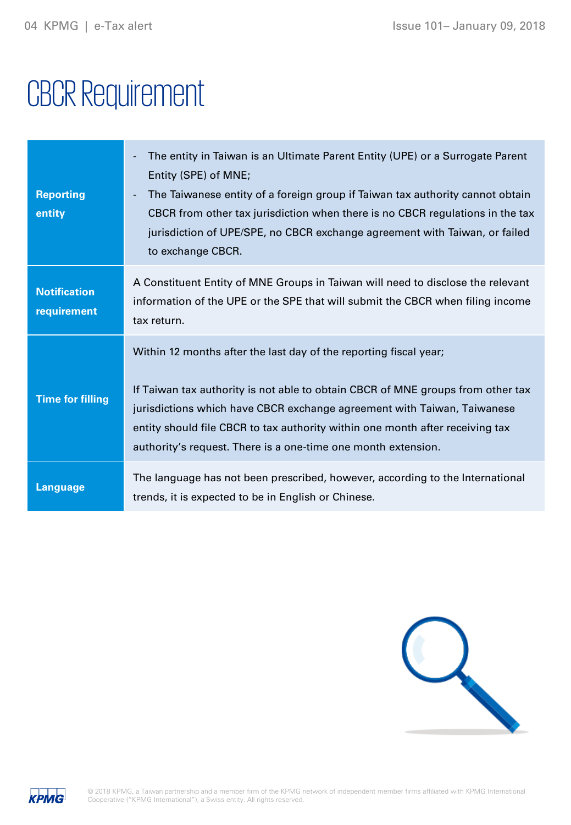## CBCR Requirement

| <b>Reporting</b><br>entity         | The entity in Taiwan is an Ultimate Parent Entity (UPE) or a Surrogate Parent<br>Entity (SPE) of MNE;<br>The Taiwanese entity of a foreign group if Taiwan tax authority cannot obtain<br>٠<br>CBCR from other tax jurisdiction when there is no CBCR regulations in the tax<br>jurisdiction of UPE/SPE, no CBCR exchange agreement with Taiwan, or failed<br>to exchange CBCR.   |
|------------------------------------|-----------------------------------------------------------------------------------------------------------------------------------------------------------------------------------------------------------------------------------------------------------------------------------------------------------------------------------------------------------------------------------|
| <b>Notification</b><br>requirement | A Constituent Entity of MNE Groups in Taiwan will need to disclose the relevant<br>information of the UPE or the SPE that will submit the CBCR when filing income<br>tax return.                                                                                                                                                                                                  |
| <b>Time for filling</b>            | Within 12 months after the last day of the reporting fiscal year;<br>If Taiwan tax authority is not able to obtain CBCR of MNE groups from other tax<br>jurisdictions which have CBCR exchange agreement with Taiwan, Taiwanese<br>entity should file CBCR to tax authority within one month after receiving tax<br>authority's request. There is a one-time one month extension. |
| <b>Language</b>                    | The language has not been prescribed, however, according to the International<br>trends, it is expected to be in English or Chinese.                                                                                                                                                                                                                                              |



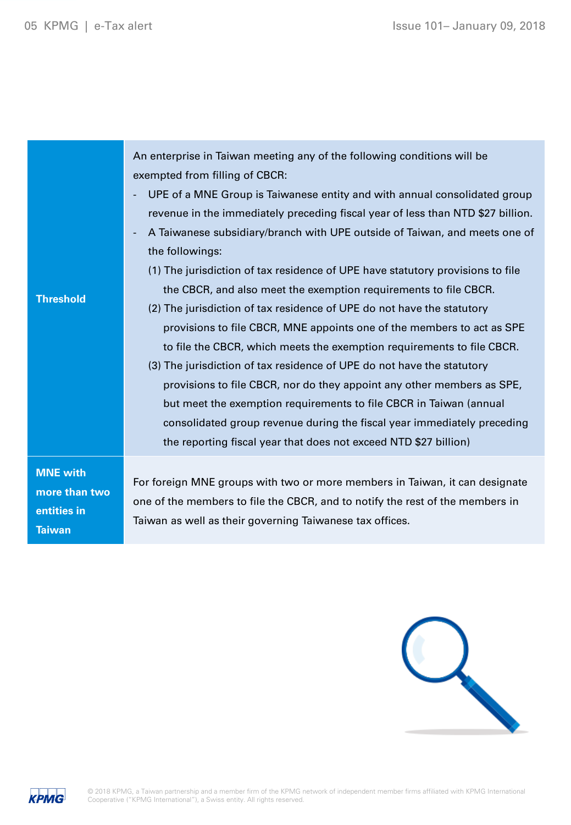| <b>Threshold</b>                                                 | An enterprise in Taiwan meeting any of the following conditions will be<br>exempted from filling of CBCR:<br>UPE of a MNE Group is Taiwanese entity and with annual consolidated group<br>revenue in the immediately preceding fiscal year of less than NTD \$27 billion.<br>A Taiwanese subsidiary/branch with UPE outside of Taiwan, and meets one of<br>the followings:<br>(1) The jurisdiction of tax residence of UPE have statutory provisions to file<br>the CBCR, and also meet the exemption requirements to file CBCR.<br>(2) The jurisdiction of tax residence of UPE do not have the statutory<br>provisions to file CBCR, MNE appoints one of the members to act as SPE<br>to file the CBCR, which meets the exemption requirements to file CBCR.<br>(3) The jurisdiction of tax residence of UPE do not have the statutory<br>provisions to file CBCR, nor do they appoint any other members as SPE,<br>but meet the exemption requirements to file CBCR in Taiwan (annual<br>consolidated group revenue during the fiscal year immediately preceding<br>the reporting fiscal year that does not exceed NTD \$27 billion) |
|------------------------------------------------------------------|-----------------------------------------------------------------------------------------------------------------------------------------------------------------------------------------------------------------------------------------------------------------------------------------------------------------------------------------------------------------------------------------------------------------------------------------------------------------------------------------------------------------------------------------------------------------------------------------------------------------------------------------------------------------------------------------------------------------------------------------------------------------------------------------------------------------------------------------------------------------------------------------------------------------------------------------------------------------------------------------------------------------------------------------------------------------------------------------------------------------------------------------|
| <b>MNE</b> with<br>more than two<br>entities in<br><b>Taiwan</b> | For foreign MNE groups with two or more members in Taiwan, it can designate<br>one of the members to file the CBCR, and to notify the rest of the members in<br>Taiwan as well as their governing Taiwanese tax offices.                                                                                                                                                                                                                                                                                                                                                                                                                                                                                                                                                                                                                                                                                                                                                                                                                                                                                                                |



**KPMG**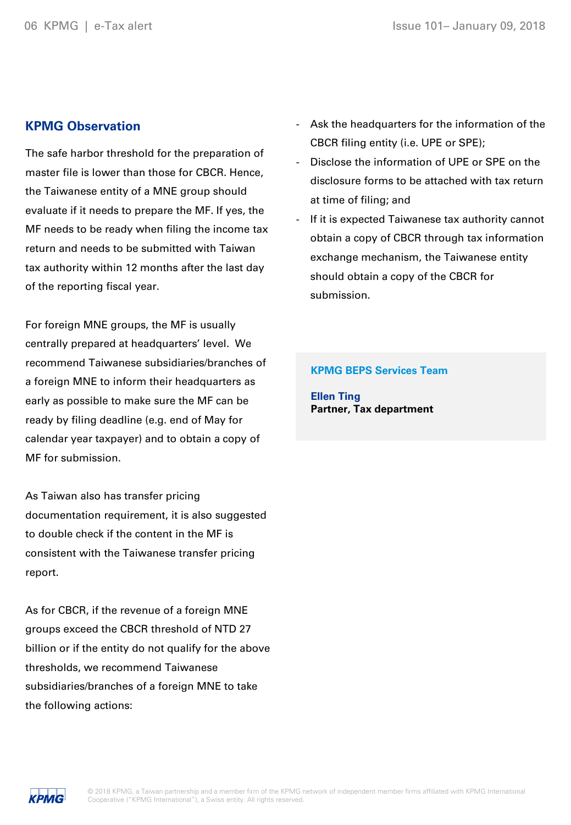#### **KPMG Observation**

The safe harbor threshold for the preparation of master file is lower than those for CBCR. Hence, the Taiwanese entity of a MNE group should evaluate if it needs to prepare the MF. If yes, the MF needs to be ready when filing the income tax return and needs to be submitted with Taiwan tax authority within 12 months after the last day of the reporting fiscal year.

For foreign MNE groups, the MF is usually centrally prepared at headquarters' level. We recommend Taiwanese subsidiaries/branches of a foreign MNE to inform their headquarters as early as possible to make sure the MF can be ready by filing deadline (e.g. end of May for calendar year taxpayer) and to obtain a copy of MF for submission.

As Taiwan also has transfer pricing documentation requirement, it is also suggested to double check if the content in the MF is consistent with the Taiwanese transfer pricing report.

As for CBCR, if the revenue of a foreign MNE groups exceed the CBCR threshold of NTD 27 billion or if the entity do not qualify for the above thresholds, we recommend Taiwanese subsidiaries/branches of a foreign MNE to take the following actions:

- Ask the headquarters for the information of the CBCR filing entity (i.e. UPE or SPE);
- Disclose the information of UPE or SPE on the disclosure forms to be attached with tax return at time of filing; and
- If it is expected Taiwanese tax authority cannot obtain a copy of CBCR through tax information exchange mechanism, the Taiwanese entity should obtain a copy of the CBCR for submission.

#### **KPMG BEPS Services Team**

**Ellen Ting Partner, Tax department**